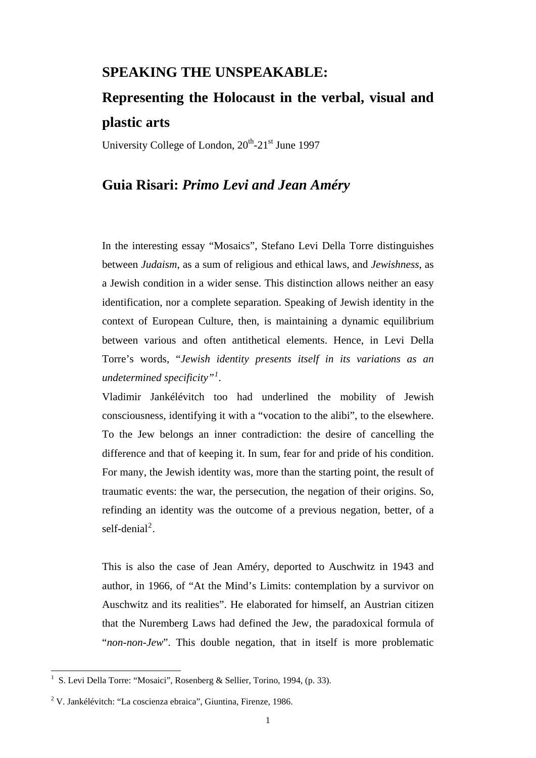## **SPEAKING THE UNSPEAKABLE:**

## **Representing the Holocaust in the verbal, visual and plastic arts**

University College of London,  $20^{th}$ - $21^{st}$  June 1997

## **Guia Risari:** *Primo Levi and Jean Améry*

In the interesting essay "Mosaics", Stefano Levi Della Torre distinguishes between *Judaism*, as a sum of religious and ethical laws, and *Jewishness*, as a Jewish condition in a wider sense. This distinction allows neither an easy identification, nor a complete separation. Speaking of Jewish identity in the context of European Culture, then, is maintaining a dynamic equilibrium between various and often antithetical elements. Hence, in Levi Della Torre's words, "*Jewish identity presents itself in its variations as an undetermined specificity"[1](#page-0-0) .* 

Vladimir Jankélévitch too had underlined the mobility of Jewish consciousness, identifying it with a "vocation to the alibi", to the elsewhere. To the Jew belongs an inner contradiction: the desire of cancelling the difference and that of keeping it. In sum, fear for and pride of his condition. For many, the Jewish identity was, more than the starting point, the result of traumatic events: the war, the persecution, the negation of their origins. So, refinding an identity was the outcome of a previous negation, better, of a self-denial<sup>[2](#page-0-1)</sup>.

This is also the case of Jean Améry, deported to Auschwitz in 1943 and author, in 1966, of "At the Mind's Limits: contemplation by a survivor on Auschwitz and its realities". He elaborated for himself, an Austrian citizen that the Nuremberg Laws had defined the Jew, the paradoxical formula of "*non-non-Jew*". This double negation, that in itself is more problematic

<span id="page-0-0"></span> 1 S. Levi Della Torre: "Mosaici", Rosenberg & Sellier, Torino, 1994, (p. 33).

<span id="page-0-1"></span><sup>&</sup>lt;sup>2</sup> V. Jankélévitch: "La coscienza ebraica", Giuntina, Firenze, 1986.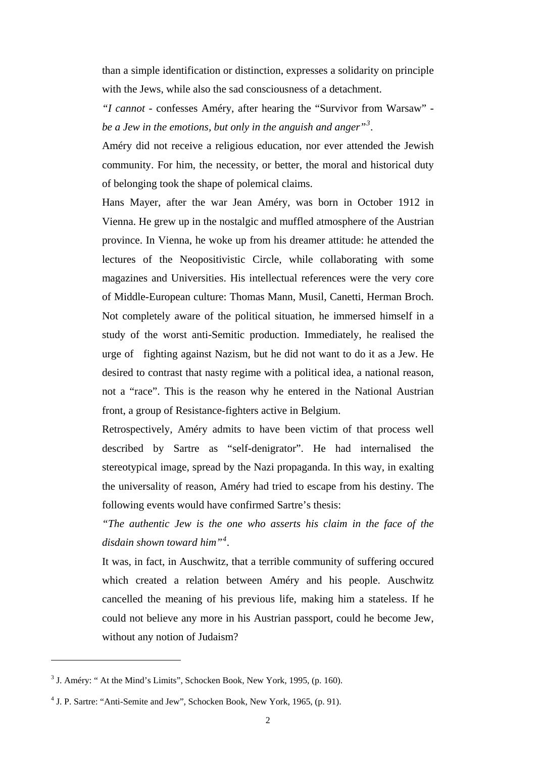than a simple identification or distinction, expresses a solidarity on principle with the Jews, while also the sad consciousness of a detachment.

*"I cannot* - confesses Améry, after hearing the "Survivor from Warsaw" *be a Jew in the emotions, but only in the anguish and anger"[3](#page-1-0) .* 

Améry did not receive a religious education, nor ever attended the Jewish community. For him, the necessity, or better, the moral and historical duty of belonging took the shape of polemical claims.

Hans Mayer, after the war Jean Améry, was born in October 1912 in Vienna. He grew up in the nostalgic and muffled atmosphere of the Austrian province. In Vienna, he woke up from his dreamer attitude: he attended the lectures of the Neopositivistic Circle, while collaborating with some magazines and Universities. His intellectual references were the very core of Middle-European culture: Thomas Mann, Musil, Canetti, Herman Broch. Not completely aware of the political situation, he immersed himself in a study of the worst anti-Semitic production. Immediately, he realised the urge of fighting against Nazism, but he did not want to do it as a Jew. He desired to contrast that nasty regime with a political idea, a national reason, not a "race". This is the reason why he entered in the National Austrian front, a group of Resistance-fighters active in Belgium.

Retrospectively, Améry admits to have been victim of that process well described by Sartre as "self-denigrator". He had internalised the stereotypical image, spread by the Nazi propaganda. In this way, in exalting the universality of reason, Améry had tried to escape from his destiny. The following events would have confirmed Sartre's thesis:

*"The authentic Jew is the one who asserts his claim in the face of the disdain shown toward him"[4](#page-1-1) .* 

It was, in fact, in Auschwitz, that a terrible community of suffering occured which created a relation between Améry and his people. Auschwitz cancelled the meaning of his previous life, making him a stateless. If he could not believe any more in his Austrian passport, could he become Jew, without any notion of Judaism?

<span id="page-1-0"></span> $3$  J. Améry: " At the Mind's Limits", Schocken Book, New York, 1995, (p. 160).

<span id="page-1-1"></span><sup>&</sup>lt;sup>4</sup> J. P. Sartre: "Anti-Semite and Jew", Schocken Book, New York, 1965, (p. 91).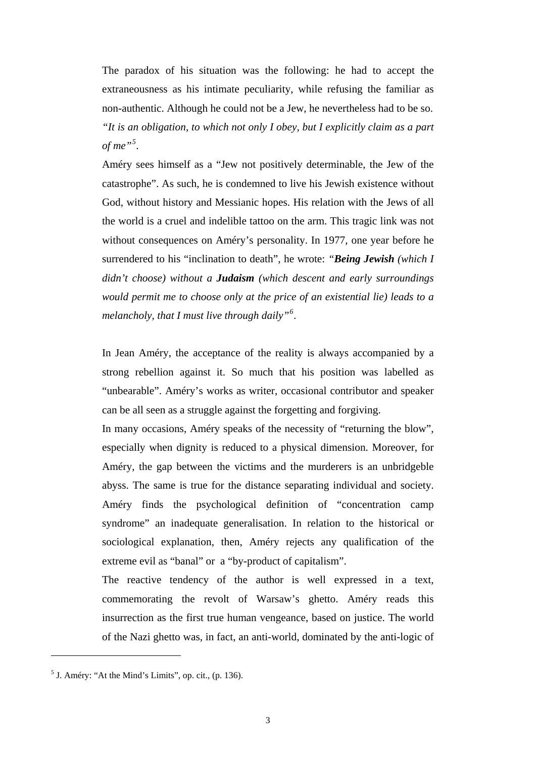The paradox of his situation was the following: he had to accept the extraneousness as his intimate peculiarity, while refusing the familiar as non-authentic. Although he could not be a Jew, he nevertheless had to be so. *"It is an obligation, to which not only I obey, but I explicitly claim as a part of me"[5](#page-2-0) .* 

Améry sees himself as a "Jew not positively determinable, the Jew of the catastrophe". As such, he is condemned to live his Jewish existence without God, without history and Messianic hopes. His relation with the Jews of all the world is a cruel and indelible tattoo on the arm. This tragic link was not without consequences on Améry's personality. In 1977, one year before he surrendered to his "inclination to death", he wrote: *"Being Jewish (which I didn't choose) without a Judaism (which descent and early surroundings would permit me to choose only at the price of an existential lie) leads to a melancholy, that I must live through daily"[6](#page-2-1) .* 

In Jean Améry, the acceptance of the reality is always accompanied by a strong rebellion against it. So much that his position was labelled as "unbearable". Améry's works as writer, occasional contributor and speaker can be all seen as a struggle against the forgetting and forgiving.

In many occasions, Améry speaks of the necessity of "returning the blow", especially when dignity is reduced to a physical dimension. Moreover, for Améry, the gap between the victims and the murderers is an unbridgeble abyss. The same is true for the distance separating individual and society. Améry finds the psychological definition of "concentration camp syndrome" an inadequate generalisation. In relation to the historical or sociological explanation, then, Améry rejects any qualification of the extreme evil as "banal" or a "by-product of capitalism".

The reactive tendency of the author is well expressed in a text, commemorating the revolt of Warsaw's ghetto. Améry reads this insurrection as the first true human vengeance, based on justice. The world of the Nazi ghetto was, in fact, an anti-world, dominated by the anti-logic of

<span id="page-2-1"></span><span id="page-2-0"></span> $<sup>5</sup>$  J. Améry: "At the Mind's Limits", op. cit., (p. 136).</sup>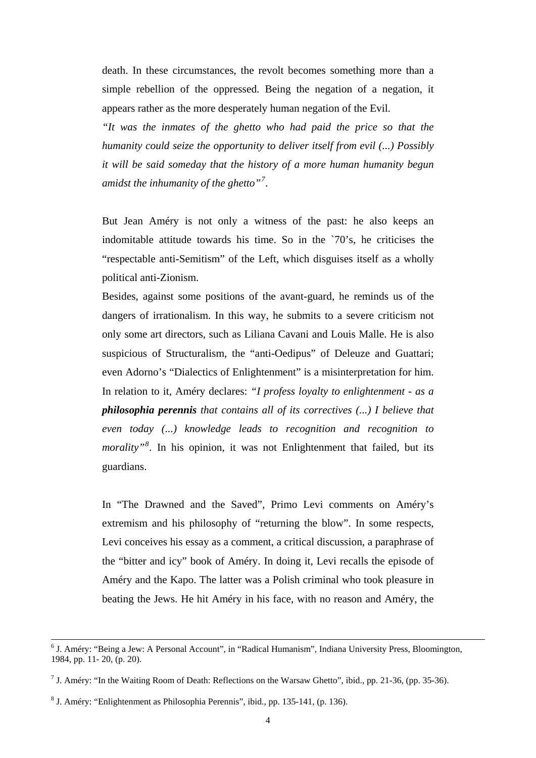death. In these circumstances, the revolt becomes something more than a simple rebellion of the oppressed. Being the negation of a negation, it appears rather as the more desperately human negation of the Evil.

*"It was the inmates of the ghetto who had paid the price so that the humanity could seize the opportunity to deliver itself from evil (...) Possibly it will be said someday that the history of a more human humanity begun amidst the inhumanity of the ghetto"[7](#page-3-0) .* 

But Jean Améry is not only a witness of the past: he also keeps an indomitable attitude towards his time. So in the `70's, he criticises the "respectable anti-Semitism" of the Left, which disguises itself as a wholly political anti-Zionism.

Besides, against some positions of the avant-guard, he reminds us of the dangers of irrationalism. In this way, he submits to a severe criticism not only some art directors, such as Liliana Cavani and Louis Malle. He is also suspicious of Structuralism, the "anti-Oedipus" of Deleuze and Guattari; even Adorno's "Dialectics of Enlightenment" is a misinterpretation for him. In relation to it, Améry declares: *"I profess loyalty to enlightenment - as a philosophia perennis that contains all of its correctives (...) I believe that even today (...) knowledge leads to recognition and recognition to morality"[8](#page-3-1) .* In his opinion, it was not Enlightenment that failed, but its guardians.

In "The Drawned and the Saved", Primo Levi comments on Améry's extremism and his philosophy of "returning the blow". In some respects, Levi conceives his essay as a comment, a critical discussion, a paraphrase of the "bitter and icy" book of Améry. In doing it, Levi recalls the episode of Améry and the Kapo. The latter was a Polish criminal who took pleasure in beating the Jews. He hit Améry in his face, with no reason and Améry, the

<sup>&</sup>lt;sup>6</sup> J. Améry: "Being a Jew: A Personal Account", in "Radical Humanism", Indiana University Press, Bloomington, 1984, pp. 11- 20, (p. 20).

<span id="page-3-0"></span><sup>&</sup>lt;sup>7</sup> J. Améry: "In the Waiting Room of Death: Reflections on the Warsaw Ghetto", ibid., pp. 21-36, (pp. 35-36).

<span id="page-3-1"></span><sup>&</sup>lt;sup>8</sup> J. Améry: "Enlightenment as Philosophia Perennis", ibid., pp. 135-141, (p. 136).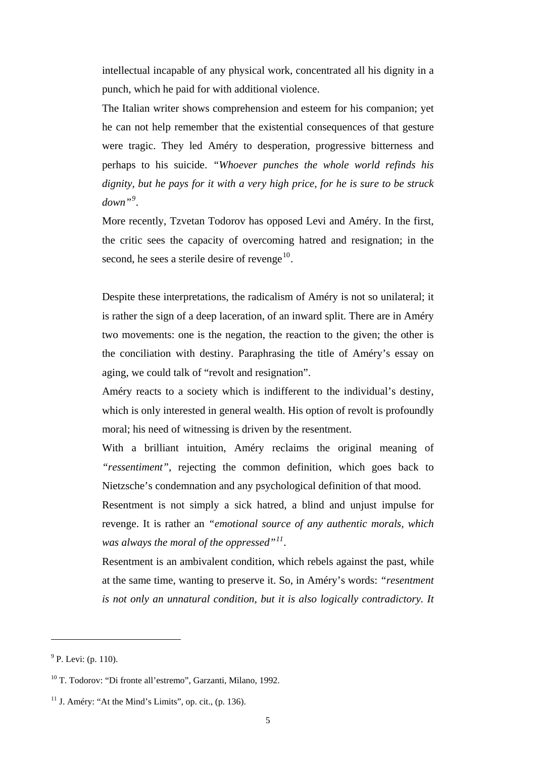intellectual incapable of any physical work, concentrated all his dignity in a punch, which he paid for with additional violence.

The Italian writer shows comprehension and esteem for his companion; yet he can not help remember that the existential consequences of that gesture were tragic. They led Améry to desperation, progressive bitterness and perhaps to his suicide. *"Whoever punches the whole world refinds his dignity, but he pays for it with a very high price, for he is sure to be struck down"[9](#page-4-0) .* 

More recently, Tzvetan Todorov has opposed Levi and Améry. In the first, the critic sees the capacity of overcoming hatred and resignation; in the second, he sees a sterile desire of revenge $10$ .

Despite these interpretations, the radicalism of Améry is not so unilateral; it is rather the sign of a deep laceration, of an inward split. There are in Améry two movements: one is the negation, the reaction to the given; the other is the conciliation with destiny. Paraphrasing the title of Améry's essay on aging, we could talk of "revolt and resignation".

Améry reacts to a society which is indifferent to the individual's destiny, which is only interested in general wealth. His option of revolt is profoundly moral; his need of witnessing is driven by the resentment.

With a brilliant intuition, Améry reclaims the original meaning of *"ressentiment"*, rejecting the common definition, which goes back to Nietzsche's condemnation and any psychological definition of that mood.

Resentment is not simply a sick hatred, a blind and unjust impulse for revenge. It is rather an *"emotional source of any authentic morals, which was always the moral of the oppressed"[11](#page-4-2).* 

Resentment is an ambivalent condition, which rebels against the past, while at the same time, wanting to preserve it. So, in Améry's words: *"resentment is not only an unnatural condition, but it is also logically contradictory. It* 

<span id="page-4-0"></span> $9^9$  P. Levi: (p. 110).

<span id="page-4-1"></span><sup>10</sup> T. Todorov: "Di fronte all'estremo", Garzanti, Milano, 1992.

<span id="page-4-2"></span> $11$  J. Améry: "At the Mind's Limits", op. cit., (p. 136).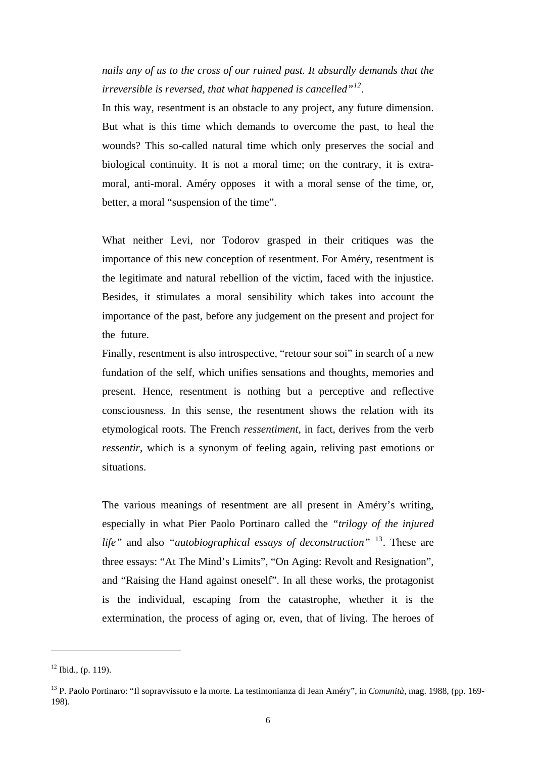*nails any of us to the cross of our ruined past. It absurdly demands that the irreversible is reversed, that what happened is cancelled"[12](#page-5-0).*

In this way, resentment is an obstacle to any project, any future dimension. But what is this time which demands to overcome the past, to heal the wounds? This so-called natural time which only preserves the social and biological continuity. It is not a moral time; on the contrary, it is extramoral, anti-moral. Améry opposes it with a moral sense of the time, or, better, a moral "suspension of the time".

What neither Levi, nor Todorov grasped in their critiques was the importance of this new conception of resentment. For Améry, resentment is the legitimate and natural rebellion of the victim, faced with the injustice. Besides, it stimulates a moral sensibility which takes into account the importance of the past, before any judgement on the present and project for the future.

Finally, resentment is also introspective, "retour sour soi" in search of a new fundation of the self, which unifies sensations and thoughts, memories and present. Hence, resentment is nothing but a perceptive and reflective consciousness. In this sense, the resentment shows the relation with its etymological roots. The French *ressentiment*, in fact, derives from the verb *ressentir*, which is a synonym of feeling again, reliving past emotions or situations.

The various meanings of resentment are all present in Améry's writing, especially in what Pier Paolo Portinaro called the *"trilogy of the injured life"* and also *"autobiographical essays of deconstruction"* [13](#page-5-1). These are three essays: "At The Mind's Limits", "On Aging: Revolt and Resignation", and "Raising the Hand against oneself". In all these works, the protagonist is the individual, escaping from the catastrophe, whether it is the extermination, the process of aging or, even, that of living. The heroes of

l

<span id="page-5-0"></span> $12$  Ibid., (p. 119).

<span id="page-5-1"></span><sup>13</sup> P. Paolo Portinaro: "Il sopravvissuto e la morte. La testimonianza di Jean Améry", in *Comunità*, mag. 1988, (pp. 169- 198).